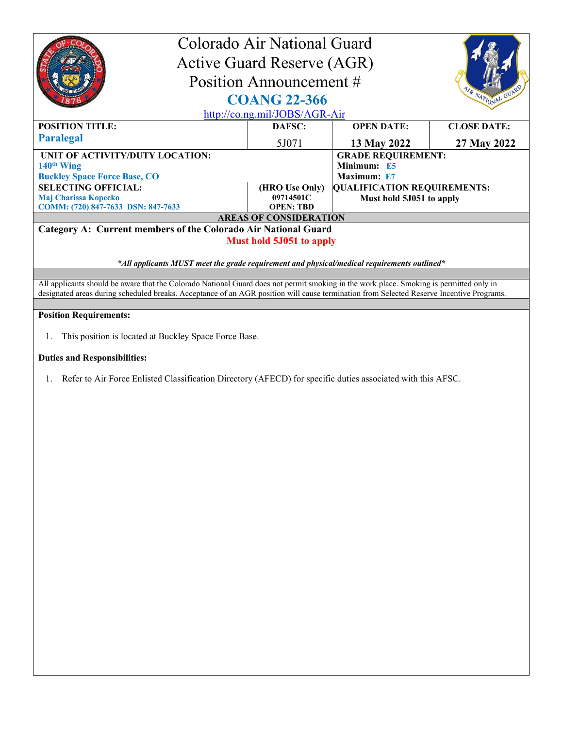| Colorado Air National Guard<br><b>Active Guard Reserve (AGR)</b><br>Position Announcement #<br><b>COANG 22-366</b><br>http://co.ng.mil/JOBS/AGR-Air                                                                                                                                 |                |                                    | R NATIONAL GUA     |  |
|-------------------------------------------------------------------------------------------------------------------------------------------------------------------------------------------------------------------------------------------------------------------------------------|----------------|------------------------------------|--------------------|--|
| <b>POSITION TITLE:</b>                                                                                                                                                                                                                                                              | DAFSC:         | <b>OPEN DATE:</b>                  | <b>CLOSE DATE:</b> |  |
| <b>Paralegal</b>                                                                                                                                                                                                                                                                    | 5J071          | 13 May 2022                        | 27 May 2022        |  |
| UNIT OF ACTIVITY/DUTY LOCATION:                                                                                                                                                                                                                                                     |                | <b>GRADE REQUIREMENT:</b>          |                    |  |
| 140 <sup>th</sup> Wing                                                                                                                                                                                                                                                              |                | Minimum: E5                        |                    |  |
| <b>Buckley Space Force Base, CO</b>                                                                                                                                                                                                                                                 |                | Maximum: E7                        |                    |  |
| <b>SELECTING OFFICIAL:</b>                                                                                                                                                                                                                                                          | (HRO Use Only) | <b>QUALIFICATION REQUIREMENTS:</b> |                    |  |
| Maj Charissa Kopecko                                                                                                                                                                                                                                                                | 09714501C      | Must hold 5J051 to apply           |                    |  |
| <b>OPEN: TBD</b><br>COMM: (720) 847-7633 DSN: 847-7633                                                                                                                                                                                                                              |                |                                    |                    |  |
| <b>AREAS OF CONSIDERATION</b>                                                                                                                                                                                                                                                       |                |                                    |                    |  |
| Category A: Current members of the Colorado Air National Guard<br><b>Must hold 5J051 to apply</b>                                                                                                                                                                                   |                |                                    |                    |  |
| $*$ All applicants MUST meet the grade requirement and physical/medical requirements outlined $*$                                                                                                                                                                                   |                |                                    |                    |  |
| All applicants should be aware that the Colorado National Guard does not permit smoking in the work place. Smoking is permitted only in<br>designated areas during scheduled breaks. Acceptance of an AGR position will cause termination from Selected Reserve Incentive Programs. |                |                                    |                    |  |
| <b>Position Requirements:</b>                                                                                                                                                                                                                                                       |                |                                    |                    |  |
| This position is located at Buckley Space Force Base.<br>1.<br><b>Duties and Responsibilities:</b>                                                                                                                                                                                  |                |                                    |                    |  |

1. Refer to Air Force Enlisted Classification Directory (AFECD) for specific duties associated with this AFSC.